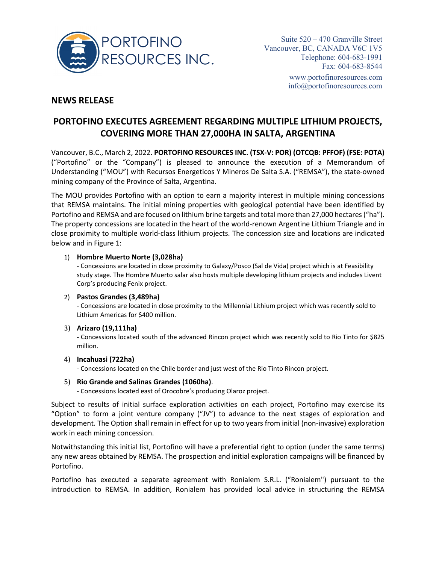

## **NEWS RELEASE**

# **PORTOFINO EXECUTES AGREEMENT REGARDING MULTIPLE LITHIUM PROJECTS, COVERING MORE THAN 27,000HA IN SALTA, ARGENTINA**

Vancouver, B.C., March 2, 2022. **PORTOFINO RESOURCES INC. (TSX-V: POR) (OTCQB: PFFOF) (FSE: POTA)** ("Portofino" or the "Company") is pleased to announce the execution of a Memorandum of Understanding ("MOU") with Recursos Energeticos Y Mineros De Salta S.A. ("REMSA"), the state-owned mining company of the Province of Salta, Argentina.

The MOU provides Portofino with an option to earn a majority interest in multiple mining concessions that REMSA maintains. The initial mining properties with geological potential have been identified by Portofino and REMSA and are focused on lithium brine targets and total more than 27,000 hectares ("ha"). The property concessions are located in the heart of the world-renown Argentine Lithium Triangle and in close proximity to multiple world-class lithium projects. The concession size and locations are indicated below and in Figure 1:

### 1) **Hombre Muerto Norte (3,028ha)**

- Concessions are located in close proximity to Galaxy/Posco (Sal de Vida) project which is at Feasibility study stage. The Hombre Muerto salar also hosts multiple developing lithium projects and includes Livent Corp's producing Fenix project.

### 2) **Pastos Grandes (3,489ha)**

- Concessions are located in close proximity to the Millennial Lithium project which was recently sold to Lithium Americas for \$400 million.

### 3) **Arizaro (19,111ha)**

- Concessions located south of the advanced Rincon project which was recently sold to Rio Tinto for \$825 million.

### 4) **Incahuasi (722ha)**

- Concessions located on the Chile border and just west of the Rio Tinto Rincon project.

### 5) **Rio Grande and Salinas Grandes (1060ha)**.

- Concessions located east of Orocobre's producing Olaroz project.

Subject to results of initial surface exploration activities on each project, Portofino may exercise its "Option" to form a joint venture company ("JV") to advance to the next stages of exploration and development. The Option shall remain in effect for up to two years from initial (non-invasive) exploration work in each mining concession.

Notwithstanding this initial list, Portofino will have a preferential right to option (under the same terms) any new areas obtained by REMSA. The prospection and initial exploration campaigns will be financed by Portofino.

Portofino has executed a separate agreement with Ronialem S.R.L. ("Ronialem") pursuant to the introduction to REMSA. In addition, Ronialem has provided local advice in structuring the REMSA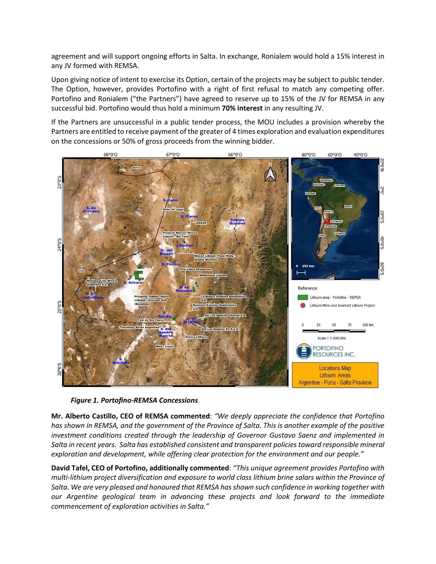agreement and will support ongoing efforts in Salta. In exchange, Ronialem would hold a 15% interest in any JV formed with REMSA.

Upon giving notice of intent to exercise its Option, certain of the projects may be subject to public tender. The Option, however, provides Portofino with a right of first refusal to match any competing offer. Portofino and Ronialem ("the Partners") have agreed to reserve up to 15% of the JV for REMSA in any successful bid. Portofino would thus hold a minimum **70% interest** in any resulting JV.

If the Partners are unsuccessful in a public tender process, the MOU includes a provision whereby the Partners are entitled to receive payment of the greater of 4 times exploration and evaluation expenditures on the concessions or 50% of gross proceeds from the winning bidder.



*Figure 1. Portofino-REMSA Concessions*

**Mr. Alberto Castillo, CEO of REMSA commented**: *"We deeply appreciate the confidence that Portofino has shown in REMSA, and the government of the Province of Salta. This is another example of the positive investment conditions created through the leadership of Governor Gustavo Saenz and implemented in Salta in recent years. Salta has established consistent and transparent policies toward responsible mineral exploration and development, while offering clear protection for the environment and our people."*

**David Tafel, CEO of Portofino, additionally commented**: *"This unique agreement provides Portofino with multi-lithium project diversification and exposure to world class lithium brine salars within the Province of Salta. We are very pleased and honoured that REMSA has shown such confidence in working together with our Argentine geological team in advancing these projects and look forward to the immediate commencement of exploration activities in Salta."*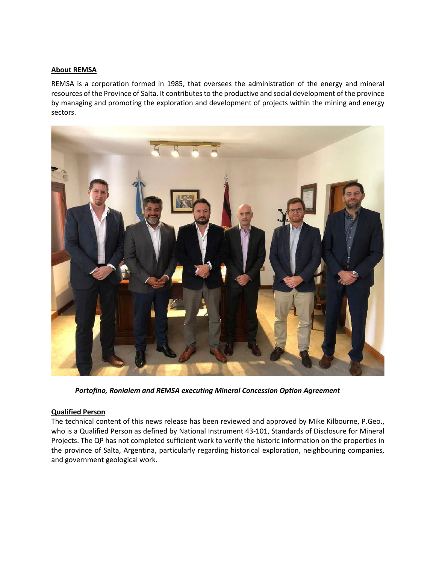#### **About REMSA**

REMSA is a corporation formed in 1985, that oversees the administration of the energy and mineral resources of the Province of Salta. It contributes to the productive and social development of the province by managing and promoting the exploration and development of projects within the mining and energy sectors.



*Portofino, Ronialem and REMSA executing Mineral Concession Option Agreement*

#### **Qualified Person**

The technical content of this news release has been reviewed and approved by Mike Kilbourne, P.Geo., who is a Qualified Person as defined by National Instrument 43-101, Standards of Disclosure for Mineral Projects. The QP has not completed sufficient work to verify the historic information on the properties in the province of Salta, Argentina, particularly regarding historical exploration, neighbouring companies, and government geological work.